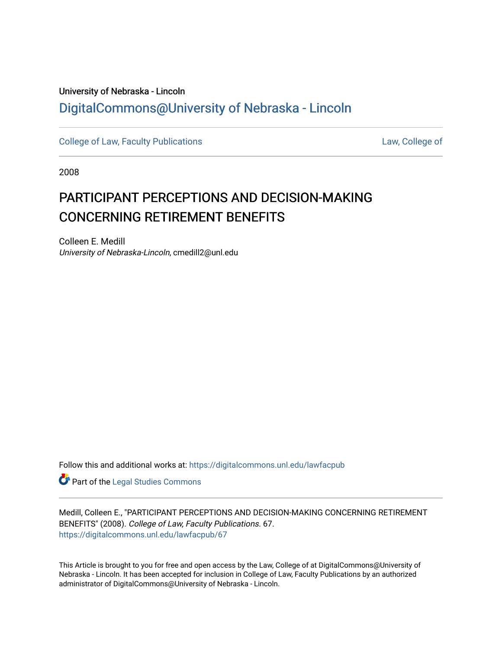# University of Nebraska - Lincoln [DigitalCommons@University of Nebraska - Lincoln](https://digitalcommons.unl.edu/)

[College of Law, Faculty Publications](https://digitalcommons.unl.edu/lawfacpub) **College of Law, College of** Law, College of

2008

# PARTICIPANT PERCEPTIONS AND DECISION-MAKING CONCERNING RETIREMENT BENEFITS

Colleen E. Medill University of Nebraska-Lincoln, cmedill2@unl.edu

Follow this and additional works at: [https://digitalcommons.unl.edu/lawfacpub](https://digitalcommons.unl.edu/lawfacpub?utm_source=digitalcommons.unl.edu%2Flawfacpub%2F67&utm_medium=PDF&utm_campaign=PDFCoverPages) 

Part of the [Legal Studies Commons](http://network.bepress.com/hgg/discipline/366?utm_source=digitalcommons.unl.edu%2Flawfacpub%2F67&utm_medium=PDF&utm_campaign=PDFCoverPages) 

Medill, Colleen E., "PARTICIPANT PERCEPTIONS AND DECISION-MAKING CONCERNING RETIREMENT BENEFITS" (2008). College of Law, Faculty Publications. 67. [https://digitalcommons.unl.edu/lawfacpub/67](https://digitalcommons.unl.edu/lawfacpub/67?utm_source=digitalcommons.unl.edu%2Flawfacpub%2F67&utm_medium=PDF&utm_campaign=PDFCoverPages)

This Article is brought to you for free and open access by the Law, College of at DigitalCommons@University of Nebraska - Lincoln. It has been accepted for inclusion in College of Law, Faculty Publications by an authorized administrator of DigitalCommons@University of Nebraska - Lincoln.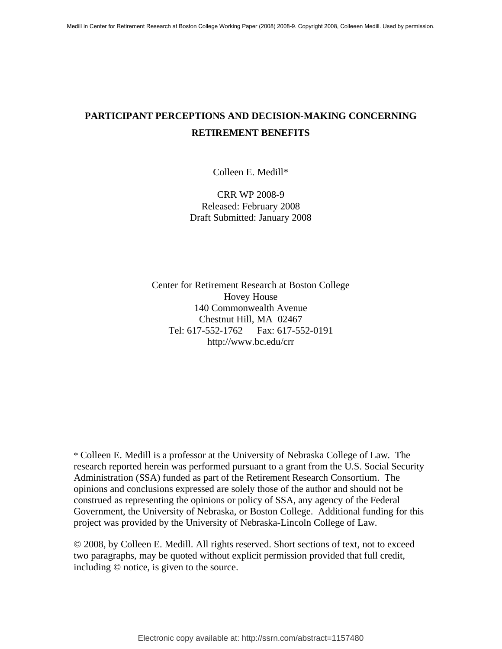# **PARTICIPANT PERCEPTIONS AND DECISION-MAKING CONCERNING RETIREMENT BENEFITS**

Colleen E. Medill\*

CRR WP 2008-9 Released: February 2008 Draft Submitted: January 2008

Center for Retirement Research at Boston College Hovey House 140 Commonwealth Avenue Chestnut Hill, MA 02467 Tel: 617-552-1762 Fax: 617-552-0191 http://www.bc.edu/crr

\* Colleen E. Medill is a professor at the University of Nebraska College of Law. The research reported herein was performed pursuant to a grant from the U.S. Social Security Administration (SSA) funded as part of the Retirement Research Consortium. The opinions and conclusions expressed are solely those of the author and should not be construed as representing the opinions or policy of SSA, any agency of the Federal Government, the University of Nebraska, or Boston College. Additional funding for this project was provided by the University of Nebraska-Lincoln College of Law.

© 2008, by Colleen E. Medill. All rights reserved. Short sections of text, not to exceed two paragraphs, may be quoted without explicit permission provided that full credit, including © notice, is given to the source.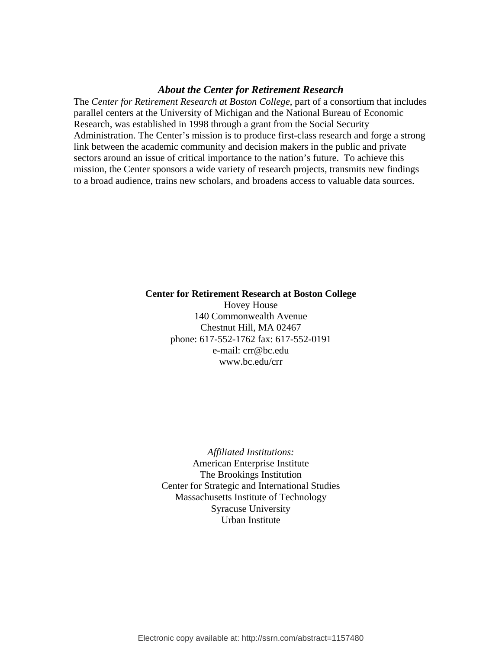### *About the Center for Retirement Research*

The *Center for Retirement Research at Boston College*, part of a consortium that includes parallel centers at the University of Michigan and the National Bureau of Economic Research, was established in 1998 through a grant from the Social Security Administration. The Center's mission is to produce first-class research and forge a strong link between the academic community and decision makers in the public and private sectors around an issue of critical importance to the nation's future. To achieve this mission, the Center sponsors a wide variety of research projects, transmits new findings to a broad audience, trains new scholars, and broadens access to valuable data sources.

#### **Center for Retirement Research at Boston College**

Hovey House 140 Commonwealth Avenue Chestnut Hill, MA 02467 phone: 617-552-1762 fax: 617-552-0191 e-mail: crr@bc.edu www.bc.edu/crr

*Affiliated Institutions:*  American Enterprise Institute The Brookings Institution Center for Strategic and International Studies Massachusetts Institute of Technology Syracuse University Urban Institute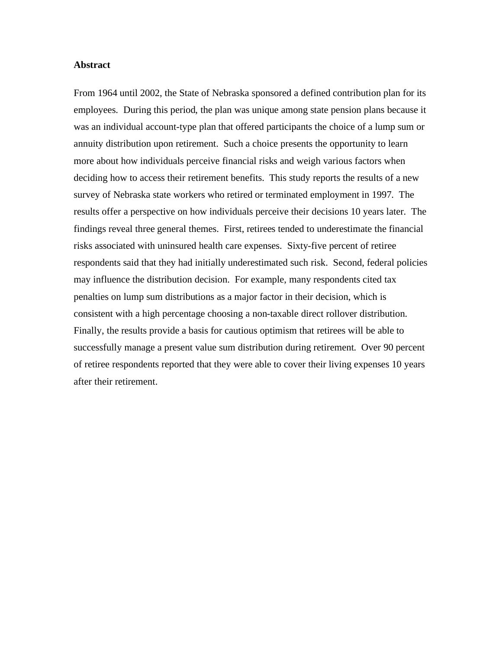#### **Abstract**

From 1964 until 2002, the State of Nebraska sponsored a defined contribution plan for its employees. During this period, the plan was unique among state pension plans because it was an individual account-type plan that offered participants the choice of a lump sum or annuity distribution upon retirement. Such a choice presents the opportunity to learn more about how individuals perceive financial risks and weigh various factors when deciding how to access their retirement benefits. This study reports the results of a new survey of Nebraska state workers who retired or terminated employment in 1997. The results offer a perspective on how individuals perceive their decisions 10 years later. The findings reveal three general themes. First, retirees tended to underestimate the financial risks associated with uninsured health care expenses. Sixty-five percent of retiree respondents said that they had initially underestimated such risk. Second, federal policies may influence the distribution decision. For example, many respondents cited tax penalties on lump sum distributions as a major factor in their decision, which is consistent with a high percentage choosing a non-taxable direct rollover distribution. Finally, the results provide a basis for cautious optimism that retirees will be able to successfully manage a present value sum distribution during retirement. Over 90 percent of retiree respondents reported that they were able to cover their living expenses 10 years after their retirement.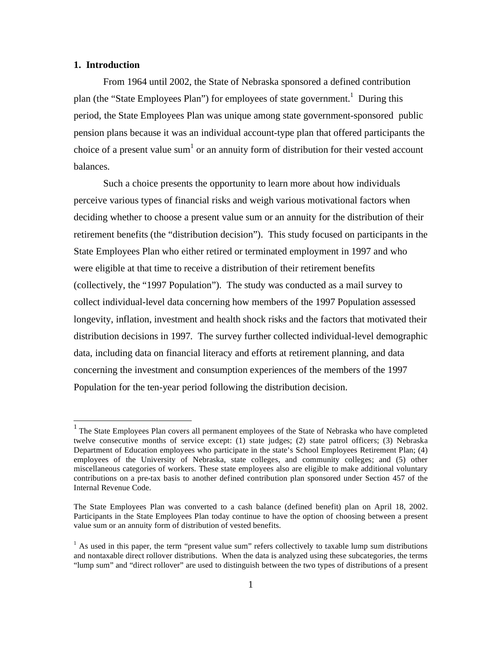#### **1. Introduction**

 $\overline{a}$ 

 From 1964 until 2002, the State of Nebraska sponsored a defined contribution plan (the "State Employees Plan") for employees of state government.<sup>1</sup> During this period, the State Employees Plan was unique among state government-sponsored public pension plans because it was an individual account-type plan that offered participants the choice of a present value sum<sup>1</sup> or an annuity form of distribution for their vested account balances.

Such a choice presents the opportunity to learn more about how individuals perceive various types of financial risks and weigh various motivational factors when deciding whether to choose a present value sum or an annuity for the distribution of their retirement benefits (the "distribution decision"). This study focused on participants in the State Employees Plan who either retired or terminated employment in 1997 and who were eligible at that time to receive a distribution of their retirement benefits (collectively, the "1997 Population"). The study was conducted as a mail survey to collect individual-level data concerning how members of the 1997 Population assessed longevity, inflation, investment and health shock risks and the factors that motivated their distribution decisions in 1997. The survey further collected individual-level demographic data, including data on financial literacy and efforts at retirement planning, and data concerning the investment and consumption experiences of the members of the 1997 Population for the ten-year period following the distribution decision.

 $<sup>1</sup>$  The State Employees Plan covers all permanent employees of the State of Nebraska who have completed</sup> twelve consecutive months of service except: (1) state judges; (2) state patrol officers; (3) Nebraska Department of Education employees who participate in the state's School Employees Retirement Plan; (4) employees of the University of Nebraska, state colleges, and community colleges; and (5) other miscellaneous categories of workers. These state employees also are eligible to make additional voluntary contributions on a pre-tax basis to another defined contribution plan sponsored under Section 457 of the Internal Revenue Code.

The State Employees Plan was converted to a cash balance (defined benefit) plan on April 18, 2002. Participants in the State Employees Plan today continue to have the option of choosing between a present value sum or an annuity form of distribution of vested benefits.

 $<sup>1</sup>$  As used in this paper, the term "present value sum" refers collectively to taxable lump sum distributions</sup> and nontaxable direct rollover distributions. When the data is analyzed using these subcategories, the terms "lump sum" and "direct rollover" are used to distinguish between the two types of distributions of a present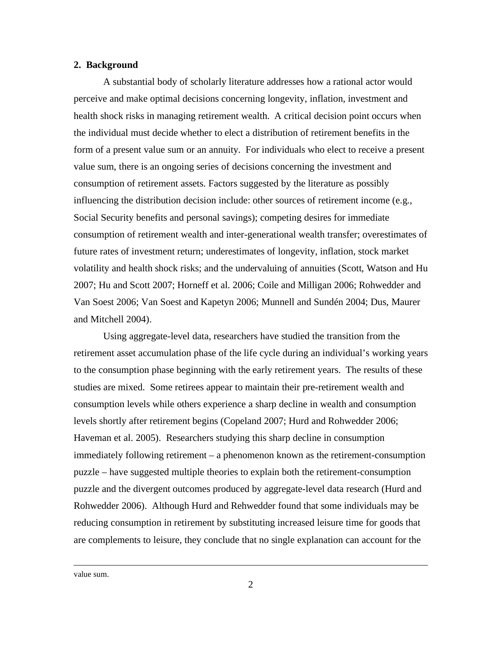#### **2. Background**

 A substantial body of scholarly literature addresses how a rational actor would perceive and make optimal decisions concerning longevity, inflation, investment and health shock risks in managing retirement wealth. A critical decision point occurs when the individual must decide whether to elect a distribution of retirement benefits in the form of a present value sum or an annuity. For individuals who elect to receive a present value sum, there is an ongoing series of decisions concerning the investment and consumption of retirement assets. Factors suggested by the literature as possibly influencing the distribution decision include: other sources of retirement income (e.g., Social Security benefits and personal savings); competing desires for immediate consumption of retirement wealth and inter-generational wealth transfer; overestimates of future rates of investment return; underestimates of longevity, inflation, stock market volatility and health shock risks; and the undervaluing of annuities (Scott, Watson and Hu 2007; Hu and Scott 2007; Horneff et al. 2006; Coile and Milligan 2006; Rohwedder and Van Soest 2006; Van Soest and Kapetyn 2006; Munnell and Sundén 2004; Dus, Maurer and Mitchell 2004).

 Using aggregate-level data, researchers have studied the transition from the retirement asset accumulation phase of the life cycle during an individual's working years to the consumption phase beginning with the early retirement years. The results of these studies are mixed. Some retirees appear to maintain their pre-retirement wealth and consumption levels while others experience a sharp decline in wealth and consumption levels shortly after retirement begins (Copeland 2007; Hurd and Rohwedder 2006; Haveman et al. 2005). Researchers studying this sharp decline in consumption immediately following retirement – a phenomenon known as the retirement-consumption puzzle – have suggested multiple theories to explain both the retirement-consumption puzzle and the divergent outcomes produced by aggregate-level data research (Hurd and Rohwedder 2006). Although Hurd and Rehwedder found that some individuals may be reducing consumption in retirement by substituting increased leisure time for goods that are complements to leisure, they conclude that no single explanation can account for the

value sum.

 $\overline{a}$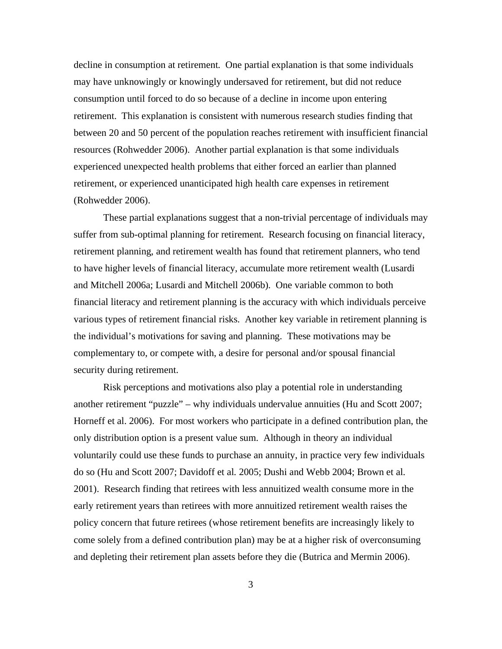decline in consumption at retirement. One partial explanation is that some individuals may have unknowingly or knowingly undersaved for retirement, but did not reduce consumption until forced to do so because of a decline in income upon entering retirement. This explanation is consistent with numerous research studies finding that between 20 and 50 percent of the population reaches retirement with insufficient financial resources (Rohwedder 2006). Another partial explanation is that some individuals experienced unexpected health problems that either forced an earlier than planned retirement, or experienced unanticipated high health care expenses in retirement (Rohwedder 2006).

These partial explanations suggest that a non-trivial percentage of individuals may suffer from sub-optimal planning for retirement. Research focusing on financial literacy, retirement planning, and retirement wealth has found that retirement planners, who tend to have higher levels of financial literacy, accumulate more retirement wealth (Lusardi and Mitchell 2006a; Lusardi and Mitchell 2006b). One variable common to both financial literacy and retirement planning is the accuracy with which individuals perceive various types of retirement financial risks. Another key variable in retirement planning is the individual's motivations for saving and planning. These motivations may be complementary to, or compete with, a desire for personal and/or spousal financial security during retirement.

Risk perceptions and motivations also play a potential role in understanding another retirement "puzzle" – why individuals undervalue annuities (Hu and Scott 2007; Horneff et al. 2006). For most workers who participate in a defined contribution plan, the only distribution option is a present value sum. Although in theory an individual voluntarily could use these funds to purchase an annuity, in practice very few individuals do so (Hu and Scott 2007; Davidoff et al. 2005; Dushi and Webb 2004; Brown et al. 2001). Research finding that retirees with less annuitized wealth consume more in the early retirement years than retirees with more annuitized retirement wealth raises the policy concern that future retirees (whose retirement benefits are increasingly likely to come solely from a defined contribution plan) may be at a higher risk of overconsuming and depleting their retirement plan assets before they die (Butrica and Mermin 2006).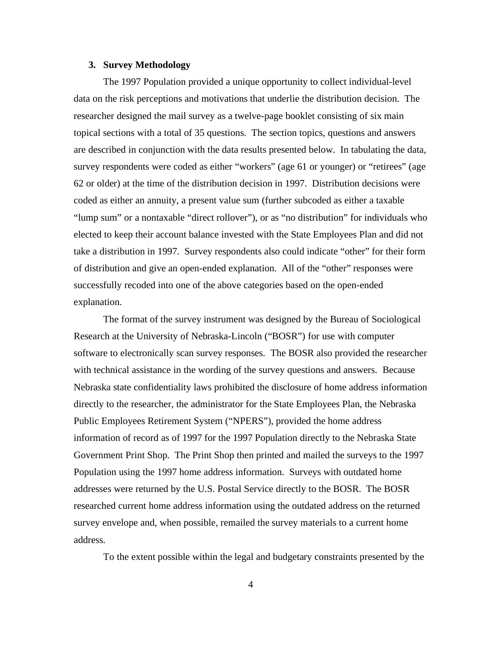#### **3. Survey Methodology**

The 1997 Population provided a unique opportunity to collect individual-level data on the risk perceptions and motivations that underlie the distribution decision. The researcher designed the mail survey as a twelve-page booklet consisting of six main topical sections with a total of 35 questions. The section topics, questions and answers are described in conjunction with the data results presented below. In tabulating the data, survey respondents were coded as either "workers" (age 61 or younger) or "retirees" (age 62 or older) at the time of the distribution decision in 1997. Distribution decisions were coded as either an annuity, a present value sum (further subcoded as either a taxable "lump sum" or a nontaxable "direct rollover"), or as "no distribution" for individuals who elected to keep their account balance invested with the State Employees Plan and did not take a distribution in 1997. Survey respondents also could indicate "other" for their form of distribution and give an open-ended explanation. All of the "other" responses were successfully recoded into one of the above categories based on the open-ended explanation.

The format of the survey instrument was designed by the Bureau of Sociological Research at the University of Nebraska-Lincoln ("BOSR") for use with computer software to electronically scan survey responses. The BOSR also provided the researcher with technical assistance in the wording of the survey questions and answers. Because Nebraska state confidentiality laws prohibited the disclosure of home address information directly to the researcher, the administrator for the State Employees Plan, the Nebraska Public Employees Retirement System ("NPERS"), provided the home address information of record as of 1997 for the 1997 Population directly to the Nebraska State Government Print Shop. The Print Shop then printed and mailed the surveys to the 1997 Population using the 1997 home address information. Surveys with outdated home addresses were returned by the U.S. Postal Service directly to the BOSR. The BOSR researched current home address information using the outdated address on the returned survey envelope and, when possible, remailed the survey materials to a current home address.

To the extent possible within the legal and budgetary constraints presented by the

4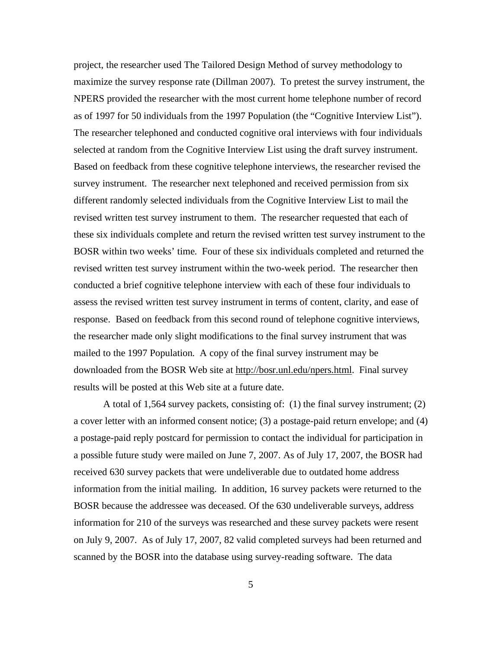project, the researcher used The Tailored Design Method of survey methodology to maximize the survey response rate (Dillman 2007). To pretest the survey instrument, the NPERS provided the researcher with the most current home telephone number of record as of 1997 for 50 individuals from the 1997 Population (the "Cognitive Interview List"). The researcher telephoned and conducted cognitive oral interviews with four individuals selected at random from the Cognitive Interview List using the draft survey instrument. Based on feedback from these cognitive telephone interviews, the researcher revised the survey instrument. The researcher next telephoned and received permission from six different randomly selected individuals from the Cognitive Interview List to mail the revised written test survey instrument to them. The researcher requested that each of these six individuals complete and return the revised written test survey instrument to the BOSR within two weeks' time. Four of these six individuals completed and returned the revised written test survey instrument within the two-week period. The researcher then conducted a brief cognitive telephone interview with each of these four individuals to assess the revised written test survey instrument in terms of content, clarity, and ease of response. Based on feedback from this second round of telephone cognitive interviews, the researcher made only slight modifications to the final survey instrument that was mailed to the 1997 Population. A copy of the final survey instrument may be downloaded from the BOSR Web site at http://bosr.unl.edu/npers.html. Final survey results will be posted at this Web site at a future date.

A total of 1,564 survey packets, consisting of: (1) the final survey instrument; (2) a cover letter with an informed consent notice; (3) a postage-paid return envelope; and (4) a postage-paid reply postcard for permission to contact the individual for participation in a possible future study were mailed on June 7, 2007. As of July 17, 2007, the BOSR had received 630 survey packets that were undeliverable due to outdated home address information from the initial mailing. In addition, 16 survey packets were returned to the BOSR because the addressee was deceased. Of the 630 undeliverable surveys, address information for 210 of the surveys was researched and these survey packets were resent on July 9, 2007. As of July 17, 2007, 82 valid completed surveys had been returned and scanned by the BOSR into the database using survey-reading software. The data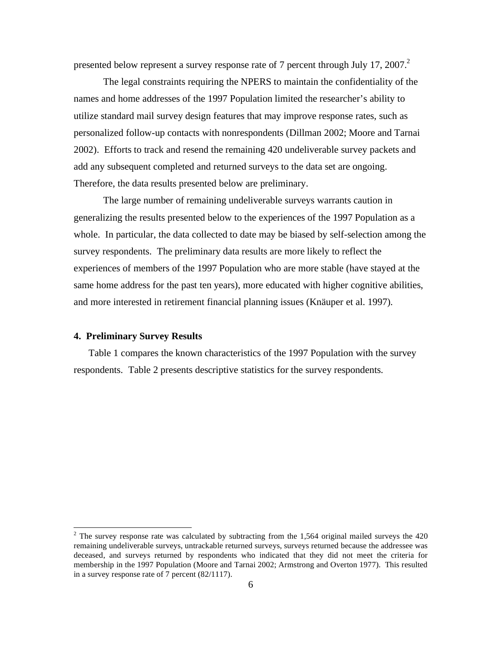presented below represent a survey response rate of 7 percent through July 17, 2007.<sup>2</sup>

The legal constraints requiring the NPERS to maintain the confidentiality of the names and home addresses of the 1997 Population limited the researcher's ability to utilize standard mail survey design features that may improve response rates, such as personalized follow-up contacts with nonrespondents (Dillman 2002; Moore and Tarnai 2002). Efforts to track and resend the remaining 420 undeliverable survey packets and add any subsequent completed and returned surveys to the data set are ongoing. Therefore, the data results presented below are preliminary.

The large number of remaining undeliverable surveys warrants caution in generalizing the results presented below to the experiences of the 1997 Population as a whole. In particular, the data collected to date may be biased by self-selection among the survey respondents. The preliminary data results are more likely to reflect the experiences of members of the 1997 Population who are more stable (have stayed at the same home address for the past ten years), more educated with higher cognitive abilities, and more interested in retirement financial planning issues (Knäuper et al. 1997).

#### **4. Preliminary Survey Results**

 $\overline{a}$ 

Table 1 compares the known characteristics of the 1997 Population with the survey respondents. Table 2 presents descriptive statistics for the survey respondents.

<sup>&</sup>lt;sup>2</sup> The survey response rate was calculated by subtracting from the 1,564 original mailed surveys the 420 remaining undeliverable surveys, untrackable returned surveys, surveys returned because the addressee was deceased, and surveys returned by respondents who indicated that they did not meet the criteria for membership in the 1997 Population (Moore and Tarnai 2002; Armstrong and Overton 1977). This resulted in a survey response rate of 7 percent (82/1117).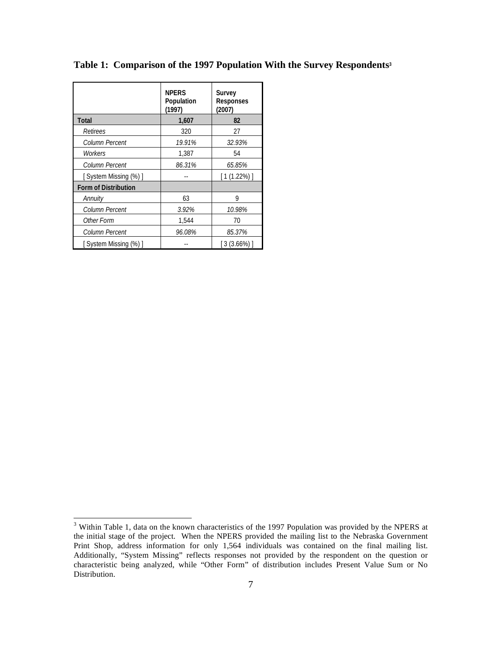|                             | <b>NPERS</b><br>Population<br>(1997) | Survey<br><b>Responses</b><br>(2007) |
|-----------------------------|--------------------------------------|--------------------------------------|
| <b>Total</b>                | 1,607                                | 82                                   |
| Retirees                    | 320                                  | 27                                   |
| Column Percent              | 19.91%                               | 32.93%                               |
| Workers                     | 1.387                                | 54                                   |
| Column Percent              | 86.31%                               | 65.85%                               |
| [System Missing (%)]        |                                      | $[1(1.22\%)]$                        |
| <b>Form of Distribution</b> |                                      |                                      |
| Annuity                     | 63                                   | 9                                    |
| Column Percent              | 3.92%                                | 10.98%                               |
| Other Form                  | 1,544                                | 70                                   |
| Column Percent              | 96.08%                               | 85.37%                               |
| [System Missing (%)]        |                                      | [3(3.66%)]                           |

 $\overline{a}$ 

**Table 1: Comparison of the 1997 Population With the Survey Respondents<sup>3</sup>**

 $3$  Within Table 1, data on the known characteristics of the 1997 Population was provided by the NPERS at the initial stage of the project. When the NPERS provided the mailing list to the Nebraska Government Print Shop, address information for only 1,564 individuals was contained on the final mailing list. Additionally, "System Missing" reflects responses not provided by the respondent on the question or characteristic being analyzed, while "Other Form" of distribution includes Present Value Sum or No Distribution.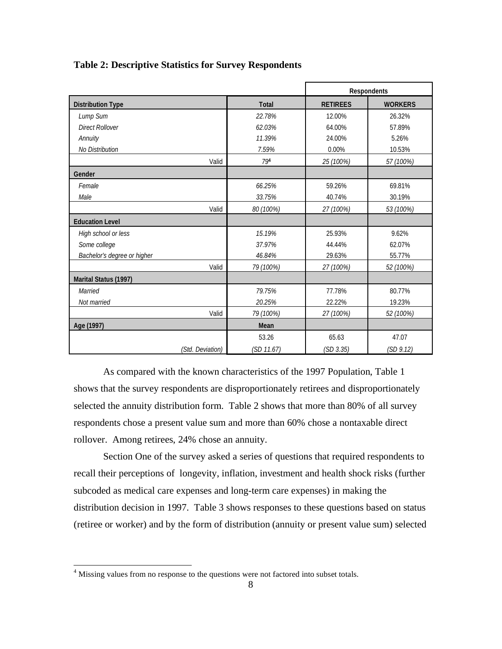|                             |       |              | Respondents     |                |  |
|-----------------------------|-------|--------------|-----------------|----------------|--|
| <b>Distribution Type</b>    |       | <b>Total</b> | <b>RETIREES</b> | <b>WORKERS</b> |  |
| Lump Sum                    |       | 22.78%       | 12.00%          | 26.32%         |  |
| <b>Direct Rollover</b>      |       | 62.03%       | 64.00%          | 57.89%         |  |
| Annuity                     |       | 11.39%       | 24.00%          | 5.26%          |  |
| <b>No Distribution</b>      |       | 7.59%        | 0.00%           | 10.53%         |  |
|                             | Valid | 794          | 25 (100%)       | 57 (100%)      |  |
| Gender                      |       |              |                 |                |  |
| Female                      |       | 66.25%       | 59.26%          | 69.81%         |  |
| Male                        |       | 33.75%       | 40.74%          | 30.19%         |  |
|                             | Valid | 80 (100%)    | 27 (100%)       | 53 (100%)      |  |
| <b>Education Level</b>      |       |              |                 |                |  |
| High school or less         |       | 15.19%       | 25.93%          | 9.62%          |  |
| Some college                |       | 37.97%       | 44.44%          | 62.07%         |  |
| Bachelor's degree or higher |       | 46.84%       | 29.63%          | 55.77%         |  |
|                             | Valid | 79 (100%)    | 27 (100%)       | 52 (100%)      |  |
| Marital Status (1997)       |       |              |                 |                |  |
| Married                     |       | 79.75%       | 77.78%          | 80.77%         |  |
| Not married                 |       | 20.25%       | 22.22%          | 19.23%         |  |
|                             | Valid | 79 (100%)    | 27 (100%)       | 52 (100%)      |  |
| Age (1997)                  |       | Mean         |                 |                |  |
|                             |       | 53.26        | 65.63           | 47.07          |  |
| (Std. Deviation)            |       | (SD 11.67)   | (SD 3.35)       | (SD 9.12)      |  |

As compared with the known characteristics of the 1997 Population, Table 1 shows that the survey respondents are disproportionately retirees and disproportionately selected the annuity distribution form. Table 2 shows that more than 80% of all survey respondents chose a present value sum and more than 60% chose a nontaxable direct rollover. Among retirees, 24% chose an annuity.

Section One of the survey asked a series of questions that required respondents to recall their perceptions of longevity, inflation, investment and health shock risks (further subcoded as medical care expenses and long-term care expenses) in making the distribution decision in 1997. Table 3 shows responses to these questions based on status (retiree or worker) and by the form of distribution (annuity or present value sum) selected

<sup>&</sup>lt;sup>4</sup> Missing values from no response to the questions were not factored into subset totals.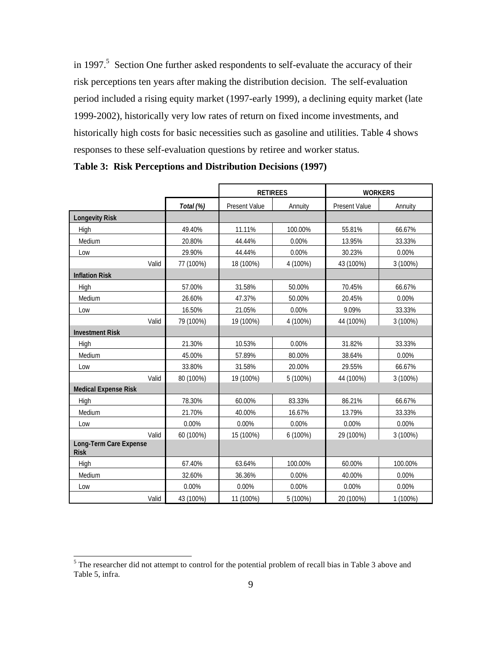in 1997.<sup>5</sup> Section One further asked respondents to self-evaluate the accuracy of their risk perceptions ten years after making the distribution decision. The self-evaluation period included a rising equity market (1997-early 1999), a declining equity market (late 1999-2002), historically very low rates of return on fixed income investments, and historically high costs for basic necessities such as gasoline and utilities. Table 4 shows responses to these self-evaluation questions by retiree and worker status.

|                                              |           | <b>RETIREES</b>      |          | <b>WORKERS</b>       |          |
|----------------------------------------------|-----------|----------------------|----------|----------------------|----------|
|                                              | Total (%) | <b>Present Value</b> | Annuity  | <b>Present Value</b> | Annuity  |
| <b>Longevity Risk</b>                        |           |                      |          |                      |          |
| High                                         | 49.40%    | 11.11%               | 100.00%  | 55.81%               | 66.67%   |
| Medium                                       | 20.80%    | 44.44%               | $0.00\%$ | 13.95%               | 33.33%   |
| Low                                          | 29.90%    | 44.44%               | 0.00%    | 30.23%               | 0.00%    |
| Valid                                        | 77 (100%) | 18 (100%)            | 4 (100%) | 43 (100%)            | 3 (100%) |
| <b>Inflation Risk</b>                        |           |                      |          |                      |          |
| High                                         | 57.00%    | 31.58%               | 50.00%   | 70.45%               | 66.67%   |
| Medium                                       | 26.60%    | 47.37%               | 50.00%   | 20.45%               | 0.00%    |
| Low                                          | 16.50%    | 21.05%               | $0.00\%$ | 9.09%                | 33.33%   |
| Valid                                        | 79 (100%) | 19 (100%)            | 4 (100%) | 44 (100%)            | 3 (100%) |
| <b>Investment Risk</b>                       |           |                      |          |                      |          |
| High                                         | 21.30%    | 10.53%               | 0.00%    | 31.82%               | 33.33%   |
| Medium                                       | 45.00%    | 57.89%               | 80.00%   | 38.64%               | 0.00%    |
| Low                                          | 33.80%    | 31.58%               | 20.00%   | 29.55%               | 66.67%   |
| Valid                                        | 80 (100%) | 19 (100%)            | 5 (100%) | 44 (100%)            | 3 (100%) |
| <b>Medical Expense Risk</b>                  |           |                      |          |                      |          |
| High                                         | 78.30%    | 60.00%               | 83.33%   | 86.21%               | 66.67%   |
| Medium                                       | 21.70%    | 40.00%               | 16.67%   | 13.79%               | 33.33%   |
| Low                                          | 0.00%     | 0.00%                | 0.00%    | 0.00%                | 0.00%    |
| Valid                                        | 60 (100%) | 15 (100%)            | 6 (100%) | 29 (100%)            | 3 (100%) |
| <b>Long-Term Care Expense</b><br><b>Risk</b> |           |                      |          |                      |          |
| High                                         | 67.40%    | 63.64%               | 100.00%  | 60.00%               | 100.00%  |
| Medium                                       | 32.60%    | 36.36%               | 0.00%    | 40.00%               | 0.00%    |
| Low                                          | 0.00%     | 0.00%                | 0.00%    | 0.00%                | 0.00%    |
| Valid                                        | 43 (100%) | 11 (100%)            | 5 (100%) | 20 (100%)            | 1 (100%) |

**Table 3: Risk Perceptions and Distribution Decisions (1997)** 

<sup>&</sup>lt;sup>5</sup> The researcher did not attempt to control for the potential problem of recall bias in Table 3 above and <sup>5</sup> Table 5, infra.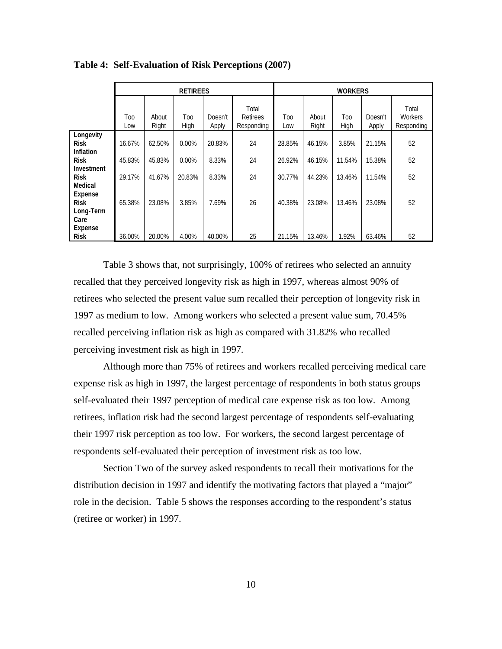|                                       | <b>RETIREES</b> |                |             |                  |                                 | <b>WORKERS</b> |                |             |                  |                                       |
|---------------------------------------|-----------------|----------------|-------------|------------------|---------------------------------|----------------|----------------|-------------|------------------|---------------------------------------|
|                                       | Too<br>Low      | About<br>Right | Too<br>High | Doesn't<br>Apply | Total<br>Retirees<br>Responding | Too<br>Low     | About<br>Right | Too<br>High | Doesn't<br>Apply | Total<br><b>Workers</b><br>Responding |
| Longevity<br><b>Risk</b><br>Inflation | 16.67%          | 62.50%         | 0.00%       | 20.83%           | 24                              | 28.85%         | 46.15%         | 3.85%       | 21.15%           | 52                                    |
| <b>Risk</b><br>Investment             | 45.83%          | 45.83%         | 0.00%       | 8.33%            | 24                              | 26.92%         | 46.15%         | 11.54%      | 15.38%           | 52                                    |
| <b>Risk</b><br>Medical                | 29.17%          | 41.67%         | 20.83%      | 8.33%            | 24                              | 30.77%         | 44.23%         | 13.46%      | 11.54%           | 52                                    |
| Expense<br><b>Risk</b><br>Long-Term   | 65.38%          | 23.08%         | 3.85%       | 7.69%            | 26                              | 40.38%         | 23.08%         | 13.46%      | 23.08%           | 52                                    |
| Care<br>Expense<br><b>Risk</b>        | 36.00%          | 20.00%         | 4.00%       | 40.00%           | 25                              | 21.15%         | 13.46%         | 1.92%       | 63.46%           | 52                                    |

**Table 4: Self-Evaluation of Risk Perceptions (2007)** 

Table 3 shows that, not surprisingly, 100% of retirees who selected an annuity recalled that they perceived longevity risk as high in 1997, whereas almost 90% of retirees who selected the present value sum recalled their perception of longevity risk in 1997 as medium to low. Among workers who selected a present value sum, 70.45% recalled perceiving inflation risk as high as compared with 31.82% who recalled perceiving investment risk as high in 1997.

Although more than 75% of retirees and workers recalled perceiving medical care expense risk as high in 1997, the largest percentage of respondents in both status groups self-evaluated their 1997 perception of medical care expense risk as too low. Among retirees, inflation risk had the second largest percentage of respondents self-evaluating their 1997 risk perception as too low. For workers, the second largest percentage of respondents self-evaluated their perception of investment risk as too low.

Section Two of the survey asked respondents to recall their motivations for the distribution decision in 1997 and identify the motivating factors that played a "major" role in the decision. Table 5 shows the responses according to the respondent's status (retiree or worker) in 1997.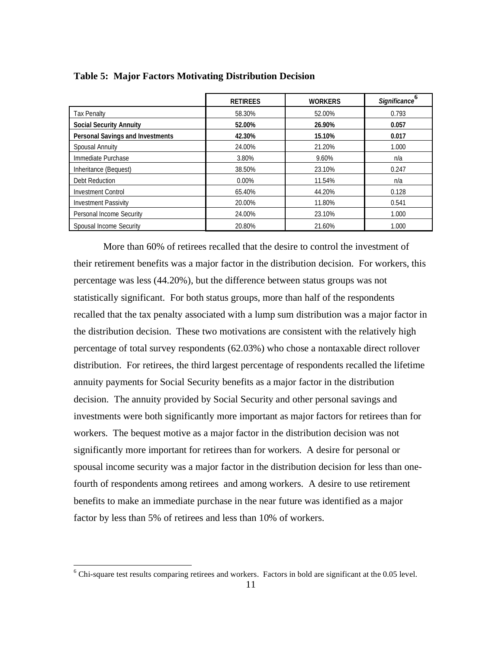|                                         | <b>RETIREES</b> | <b>WORKERS</b> | Significance |
|-----------------------------------------|-----------------|----------------|--------------|
| <b>Tax Penalty</b>                      | 58.30%          | 52.00%         | 0.793        |
| <b>Social Security Annuity</b>          | 52.00%          | 26.90%         | 0.057        |
| <b>Personal Savings and Investments</b> | 42.30%          | 15.10%         | 0.017        |
| <b>Spousal Annuity</b>                  | 24.00%          | 21.20%         | 1.000        |
| Immediate Purchase                      | 3.80%           | 9.60%          | n/a          |
| Inheritance (Bequest)                   | 38.50%          | 23.10%         | 0.247        |
| Debt Reduction                          | $0.00\%$        | 11.54%         | n/a          |
| <b>Investment Control</b>               | 65.40%          | 44.20%         | 0.128        |
| <b>Investment Passivity</b>             | 20.00%          | 11.80%         | 0.541        |
| Personal Income Security                | 24.00%          | 23.10%         | 1.000        |
| Spousal Income Security                 | 20.80%          | 21.60%         | 1.000        |

**Table 5: Major Factors Motivating Distribution Decision** 

More than 60% of retirees recalled that the desire to control the investment of their retirement benefits was a major factor in the distribution decision. For workers, this percentage was less (44.20%), but the difference between status groups was not statistically significant. For both status groups, more than half of the respondents recalled that the tax penalty associated with a lump sum distribution was a major factor in the distribution decision. These two motivations are consistent with the relatively high percentage of total survey respondents (62.03%) who chose a nontaxable direct rollover distribution. For retirees, the third largest percentage of respondents recalled the lifetime annuity payments for Social Security benefits as a major factor in the distribution decision. The annuity provided by Social Security and other personal savings and investments were both significantly more important as major factors for retirees than for workers. The bequest motive as a major factor in the distribution decision was not significantly more important for retirees than for workers. A desire for personal or spousal income security was a major factor in the distribution decision for less than onefourth of respondents among retirees and among workers. A desire to use retirement benefits to make an immediate purchase in the near future was identified as a major factor by less than 5% of retirees and less than 10% of workers.

<sup>&</sup>lt;sup>6</sup> Chi-square test results comparing retirees and workers. Factors in bold are significant at the 0.05 level.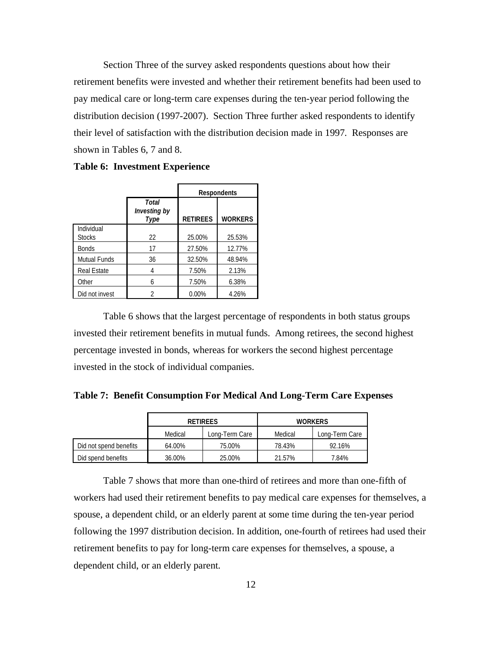Section Three of the survey asked respondents questions about how their retirement benefits were invested and whether their retirement benefits had been used to pay medical care or long-term care expenses during the ten-year period following the distribution decision (1997-2007). Section Three further asked respondents to identify their level of satisfaction with the distribution decision made in 1997. Responses are shown in Tables 6, 7 and 8.

|                             |                                      | <b>Respondents</b> |                |  |
|-----------------------------|--------------------------------------|--------------------|----------------|--|
|                             | Total<br><b>Investing by</b><br>Type | <b>RETIREES</b>    | <b>WORKERS</b> |  |
| Individual<br><b>Stocks</b> | 22                                   | 25.00%             | 25.53%         |  |
| <b>Bonds</b>                | 17                                   | 27.50%             | 12.77%         |  |
| <b>Mutual Funds</b>         | 36                                   | 32.50%             | 48.94%         |  |
| <b>Real Estate</b>          |                                      | 7.50%              | 2.13%          |  |
| Other                       | 6                                    | 7.50%              | 6.38%          |  |
| Did not invest              | 2                                    | 0.00%              | 4.26%          |  |

**Table 6: Investment Experience** 

 Table 6 shows that the largest percentage of respondents in both status groups invested their retirement benefits in mutual funds. Among retirees, the second highest percentage invested in bonds, whereas for workers the second highest percentage invested in the stock of individual companies.

**Table 7: Benefit Consumption For Medical And Long-Term Care Expenses** 

|                        | <b>RETIREES</b><br>Medical<br>Lona-Term Care |        | <b>WORKERS</b> |                |  |
|------------------------|----------------------------------------------|--------|----------------|----------------|--|
|                        |                                              |        | Medical        | Long-Term Care |  |
| Did not spend benefits | 64.00%                                       | 75.00% | 78.43%         | 92.16%         |  |
| Did spend benefits     | 36.00%                                       | 25.00% | 21.57%         | 7.84%          |  |

 Table 7 shows that more than one-third of retirees and more than one-fifth of workers had used their retirement benefits to pay medical care expenses for themselves, a spouse, a dependent child, or an elderly parent at some time during the ten-year period following the 1997 distribution decision. In addition, one-fourth of retirees had used their retirement benefits to pay for long-term care expenses for themselves, a spouse, a dependent child, or an elderly parent.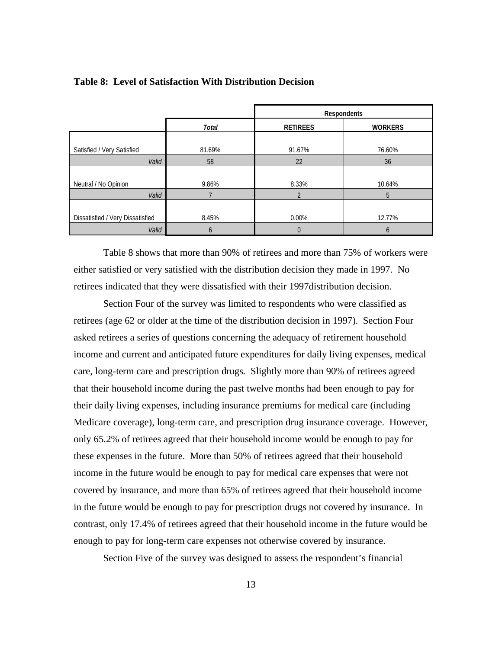|                                  |              | Respondents     |                |  |  |
|----------------------------------|--------------|-----------------|----------------|--|--|
|                                  | <b>Total</b> | <b>RETIREES</b> | <b>WORKERS</b> |  |  |
|                                  |              |                 |                |  |  |
| Satisfied / Very Satisfied       | 81.69%       | 91.67%          | 76.60%         |  |  |
| Valid                            | 58           | 22              | 36             |  |  |
|                                  |              |                 |                |  |  |
| Neutral / No Opinion             | 9.86%        | 8.33%           | 10.64%         |  |  |
| Valid                            |              |                 | 5              |  |  |
|                                  |              |                 |                |  |  |
| Dissatisfied / Very Dissatisfied | 8.45%        | $0.00\%$        | 12.77%         |  |  |
| Valid                            | 6            | 0               | 6              |  |  |

#### **Table 8: Level of Satisfaction With Distribution Decision**

Table 8 shows that more than 90% of retirees and more than 75% of workers were either satisfied or very satisfied with the distribution decision they made in 1997. No retirees indicated that they were dissatisfied with their 1997distribution decision.

Section Four of the survey was limited to respondents who were classified as retirees (age 62 or older at the time of the distribution decision in 1997). Section Four asked retirees a series of questions concerning the adequacy of retirement household income and current and anticipated future expenditures for daily living expenses, medical care, long-term care and prescription drugs. Slightly more than 90% of retirees agreed that their household income during the past twelve months had been enough to pay for their daily living expenses, including insurance premiums for medical care (including Medicare coverage), long-term care, and prescription drug insurance coverage. However, only 65.2% of retirees agreed that their household income would be enough to pay for these expenses in the future. More than 50% of retirees agreed that their household income in the future would be enough to pay for medical care expenses that were not covered by insurance, and more than 65% of retirees agreed that their household income in the future would be enough to pay for prescription drugs not covered by insurance. In contrast, only 17.4% of retirees agreed that their household income in the future would be enough to pay for long-term care expenses not otherwise covered by insurance.

Section Five of the survey was designed to assess the respondent's financial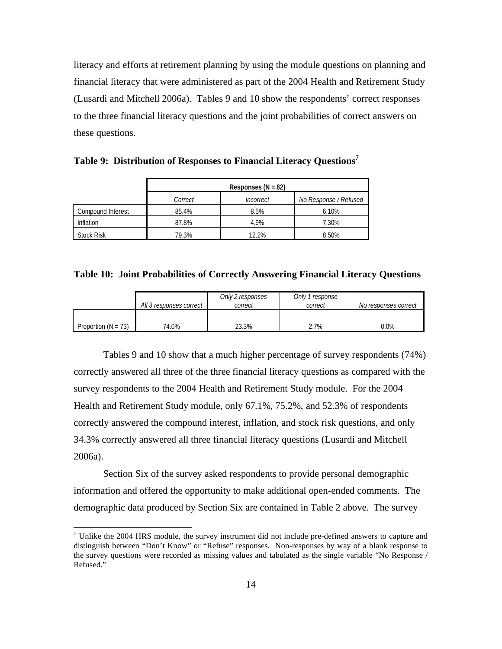literacy and efforts at retirement planning by using the module questions on planning and financial literacy that were administered as part of the 2004 Health and Retirement Study (Lusardi and Mitchell 2006a). Tables 9 and 10 show the respondents' correct responses to the three financial literacy questions and the joint probabilities of correct answers on these questions.

|                   | Responses ( $N = 82$ ) |           |                       |  |  |  |
|-------------------|------------------------|-----------|-----------------------|--|--|--|
|                   | Correct                | Incorrect | No Response / Refused |  |  |  |
| Compound Interest | 85.4%                  | 8.5%      | 6.10%                 |  |  |  |
| Inflation         | 87.8%                  | 4.9%      | 7.30%                 |  |  |  |
| <b>Stock Risk</b> | 79.3%                  | 12.2%     | 8.50%                 |  |  |  |

**Table 9: Distribution of Responses to Financial Literacy Questions7**

**Table 10: Joint Probabilities of Correctly Answering Financial Literacy Questions** 

|                       | All 3 responses correct | Only 2 responses<br>correct | Only 1 response<br>correct | <i>No responses correct</i> |
|-----------------------|-------------------------|-----------------------------|----------------------------|-----------------------------|
| Proportion $(N = 73)$ | 74.0%                   | 23.3%                       | 7%                         | $0.0\%$                     |

Tables 9 and 10 show that a much higher percentage of survey respondents (74%) correctly answered all three of the three financial literacy questions as compared with the survey respondents to the 2004 Health and Retirement Study module. For the 2004 Health and Retirement Study module, only 67.1%, 75.2%, and 52.3% of respondents correctly answered the compound interest, inflation, and stock risk questions, and only 34.3% correctly answered all three financial literacy questions (Lusardi and Mitchell 2006a).

Section Six of the survey asked respondents to provide personal demographic information and offered the opportunity to make additional open-ended comments. The demographic data produced by Section Six are contained in Table 2 above. The survey

 $\overline{a}$ 

 $<sup>7</sup>$  Unlike the 2004 HRS module, the survey instrument did not include pre-defined answers to capture and</sup> distinguish between "Don't Know" or "Refuse" responses. Non-responses by way of a blank response to the survey questions were recorded as missing values and tabulated as the single variable "No Response / Refused."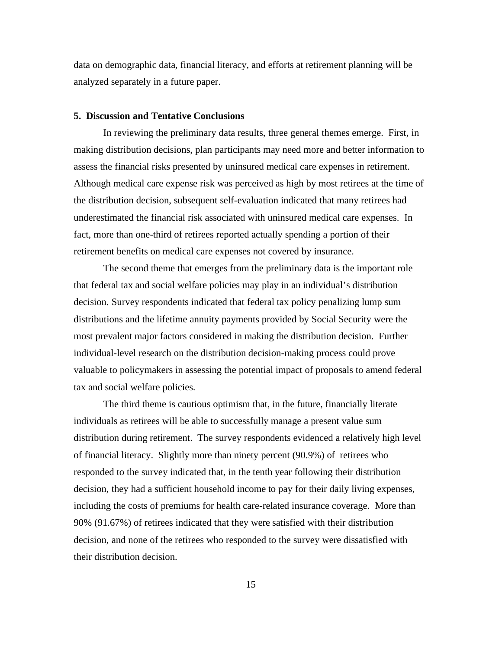data on demographic data, financial literacy, and efforts at retirement planning will be analyzed separately in a future paper.

#### **5. Discussion and Tentative Conclusions**

In reviewing the preliminary data results, three general themes emerge. First, in making distribution decisions, plan participants may need more and better information to assess the financial risks presented by uninsured medical care expenses in retirement. Although medical care expense risk was perceived as high by most retirees at the time of the distribution decision, subsequent self-evaluation indicated that many retirees had underestimated the financial risk associated with uninsured medical care expenses. In fact, more than one-third of retirees reported actually spending a portion of their retirement benefits on medical care expenses not covered by insurance.

The second theme that emerges from the preliminary data is the important role that federal tax and social welfare policies may play in an individual's distribution decision. Survey respondents indicated that federal tax policy penalizing lump sum distributions and the lifetime annuity payments provided by Social Security were the most prevalent major factors considered in making the distribution decision. Further individual-level research on the distribution decision-making process could prove valuable to policymakers in assessing the potential impact of proposals to amend federal tax and social welfare policies.

The third theme is cautious optimism that, in the future, financially literate individuals as retirees will be able to successfully manage a present value sum distribution during retirement. The survey respondents evidenced a relatively high level of financial literacy. Slightly more than ninety percent (90.9%) of retirees who responded to the survey indicated that, in the tenth year following their distribution decision, they had a sufficient household income to pay for their daily living expenses, including the costs of premiums for health care-related insurance coverage. More than 90% (91.67%) of retirees indicated that they were satisfied with their distribution decision, and none of the retirees who responded to the survey were dissatisfied with their distribution decision.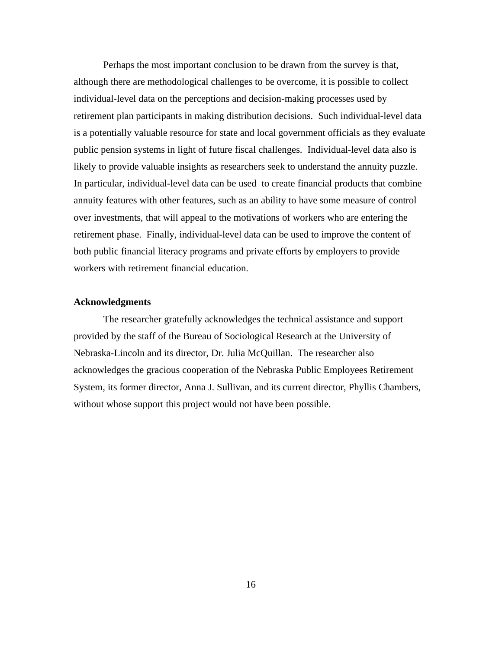Perhaps the most important conclusion to be drawn from the survey is that, although there are methodological challenges to be overcome, it is possible to collect individual-level data on the perceptions and decision-making processes used by retirement plan participants in making distribution decisions. Such individual-level data is a potentially valuable resource for state and local government officials as they evaluate public pension systems in light of future fiscal challenges. Individual-level data also is likely to provide valuable insights as researchers seek to understand the annuity puzzle. In particular, individual-level data can be used to create financial products that combine annuity features with other features, such as an ability to have some measure of control over investments, that will appeal to the motivations of workers who are entering the retirement phase. Finally, individual-level data can be used to improve the content of both public financial literacy programs and private efforts by employers to provide workers with retirement financial education.

#### **Acknowledgments**

The researcher gratefully acknowledges the technical assistance and support provided by the staff of the Bureau of Sociological Research at the University of Nebraska-Lincoln and its director, Dr. Julia McQuillan. The researcher also acknowledges the gracious cooperation of the Nebraska Public Employees Retirement System, its former director, Anna J. Sullivan, and its current director, Phyllis Chambers, without whose support this project would not have been possible.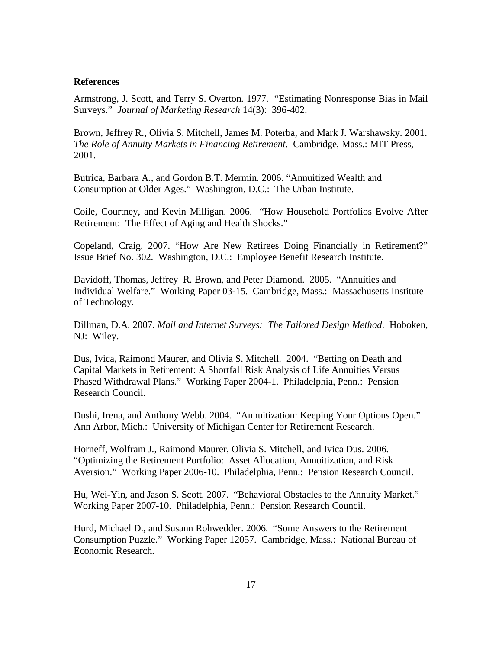#### **References**

Armstrong, J. Scott, and Terry S. Overton. 1977. "Estimating Nonresponse Bias in Mail Surveys." *Journal of Marketing Research* 14(3): 396-402.

Brown, Jeffrey R., Olivia S. Mitchell, James M. Poterba, and Mark J. Warshawsky. 2001. *The Role of Annuity Markets in Financing Retirement*. Cambridge, Mass.: MIT Press, 2001.

Butrica, Barbara A., and Gordon B.T. Mermin. 2006. "Annuitized Wealth and Consumption at Older Ages." Washington, D.C.: The Urban Institute.

Coile, Courtney, and Kevin Milligan. 2006. "How Household Portfolios Evolve After Retirement: The Effect of Aging and Health Shocks."

Copeland, Craig. 2007. "How Are New Retirees Doing Financially in Retirement?" Issue Brief No. 302. Washington, D.C.: Employee Benefit Research Institute.

Davidoff, Thomas, Jeffrey R. Brown, and Peter Diamond. 2005. "Annuities and Individual Welfare." Working Paper 03-15. Cambridge, Mass.: Massachusetts Institute of Technology.

Dillman, D.A. 2007. *Mail and Internet Surveys: The Tailored Design Method*. Hoboken, NJ: Wiley.

Dus, Ivica, Raimond Maurer, and Olivia S. Mitchell. 2004. "Betting on Death and Capital Markets in Retirement: A Shortfall Risk Analysis of Life Annuities Versus Phased Withdrawal Plans." Working Paper 2004-1. Philadelphia, Penn.: Pension Research Council.

Dushi, Irena, and Anthony Webb. 2004. "Annuitization: Keeping Your Options Open." Ann Arbor, Mich.: University of Michigan Center for Retirement Research.

Horneff, Wolfram J., Raimond Maurer, Olivia S. Mitchell, and Ivica Dus. 2006. "Optimizing the Retirement Portfolio: Asset Allocation, Annuitization, and Risk Aversion." Working Paper 2006-10. Philadelphia, Penn.: Pension Research Council.

Hu, Wei-Yin, and Jason S. Scott. 2007. "Behavioral Obstacles to the Annuity Market." Working Paper 2007-10. Philadelphia, Penn.: Pension Research Council.

Hurd, Michael D., and Susann Rohwedder. 2006. "Some Answers to the Retirement Consumption Puzzle." Working Paper 12057. Cambridge, Mass.: National Bureau of Economic Research.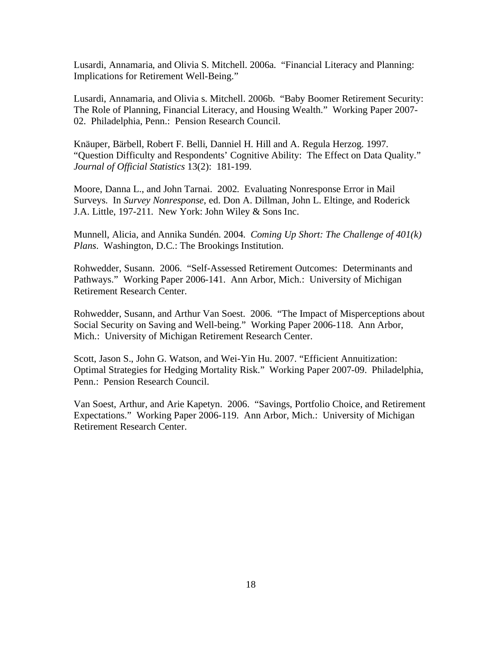Lusardi, Annamaria, and Olivia S. Mitchell. 2006a. "Financial Literacy and Planning: Implications for Retirement Well-Being."

Lusardi, Annamaria, and Olivia s. Mitchell. 2006b. "Baby Boomer Retirement Security: The Role of Planning, Financial Literacy, and Housing Wealth." Working Paper 2007- 02. Philadelphia, Penn.: Pension Research Council.

Knäuper, Bärbell, Robert F. Belli, Danniel H. Hill and A. Regula Herzog. 1997. "Question Difficulty and Respondents' Cognitive Ability: The Effect on Data Quality." *Journal of Official Statistics* 13(2): 181-199.

Moore, Danna L., and John Tarnai. 2002. Evaluating Nonresponse Error in Mail Surveys. In *Survey Nonresponse*, ed. Don A. Dillman, John L. Eltinge, and Roderick J.A. Little, 197-211. New York: John Wiley & Sons Inc.

Munnell, Alicia, and Annika Sundén. 2004. *Coming Up Short: The Challenge of 401(k) Plans*. Washington, D.C.: The Brookings Institution.

Rohwedder, Susann. 2006. "Self-Assessed Retirement Outcomes: Determinants and Pathways." Working Paper 2006-141. Ann Arbor, Mich.: University of Michigan Retirement Research Center.

Rohwedder, Susann, and Arthur Van Soest. 2006. "The Impact of Misperceptions about Social Security on Saving and Well-being." Working Paper 2006-118. Ann Arbor, Mich.: University of Michigan Retirement Research Center.

Scott, Jason S., John G. Watson, and Wei-Yin Hu. 2007. "Efficient Annuitization: Optimal Strategies for Hedging Mortality Risk." Working Paper 2007-09. Philadelphia, Penn.: Pension Research Council.

Van Soest, Arthur, and Arie Kapetyn. 2006. "Savings, Portfolio Choice, and Retirement Expectations." Working Paper 2006-119. Ann Arbor, Mich.: University of Michigan Retirement Research Center.